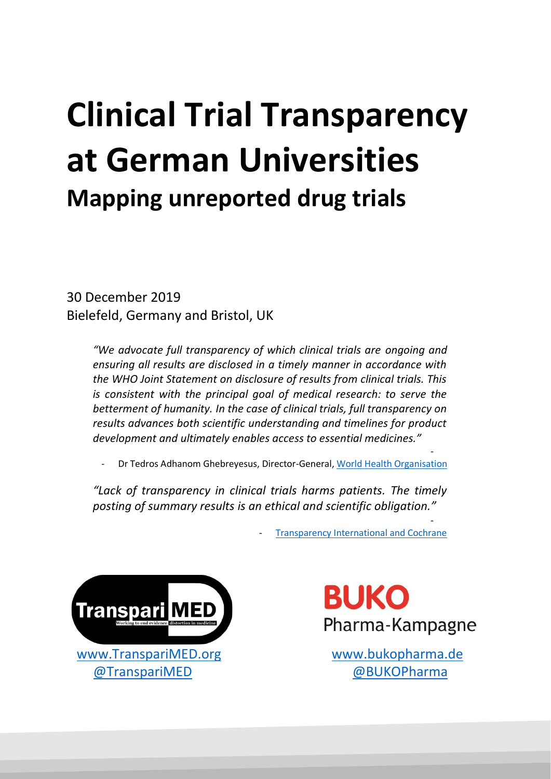# **Clinical Trial Transparency at German Universities Mapping unreported drug trials**

30 December 2019 Bielefeld, Germany and Bristol, UK

> *"We advocate full transparency of which clinical trials are ongoing and ensuring all results are disclosed in a timely manner in accordance with the WHO Joint Statement on disclosure of results from clinical trials. This is consistent with the principal goal of medical research: to serve the betterment of humanity. In the case of clinical trials, full transparency on results advances both scientific understanding and timelines for product development and ultimately enables access to essential medicines."*

- - Dr Tedros Adhanom Ghebreyesus, Director-General[, World Health Organisation](https://www.transparimed.org/single-post/2019/03/25/New-report-25-leading-US-universities-violate-key-medical-transparency-law)

*"Lack of transparency in clinical trials harms patients. The timely posting of summary results is an ethical and scientific obligation."* 

> - [Transparency International and Cochrane](https://docs.wixstatic.com/ugd/01f35d_def0082121a648529220e1d56df4b50a.pdf)



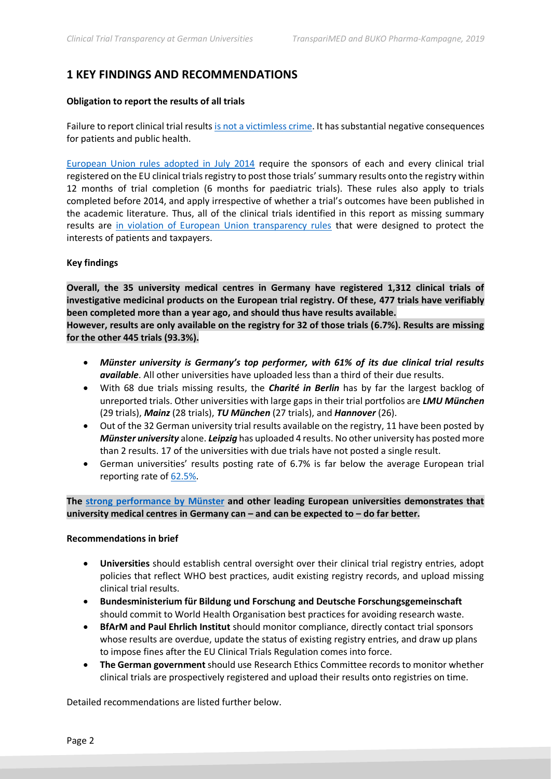# **1 KEY FINDINGS AND RECOMMENDATIONS**

#### **Obligation to report the results of all trials**

Failure to report clinical trial results [is not a victimless crime.](https://www.ti-austria.at/wp-content/uploads/2018/05/Transparenz-bei-Klinischen-Studien_Ein-Leitfaden-fuer-Entscheidungstraeger.pdf) It has substantial negative consequences for patients and public health.

[European Union rules adopted in July 2014](https://www.ema.europa.eu/en/news/posting-clinical-trial-summary-results-european-clinical-trials-database-eudract-become-mandatory) require the sponsors of each and every clinical trial registered on the EU clinical trials registry to post those trials' summary results onto the registry within 12 months of trial completion (6 months for paediatric trials). These rules also apply to trials completed before 2014, and apply irrespective of whether a trial's outcomes have been published in the academic literature. Thus, all of the clinical trials identified in this report as missing summary results are [in violation of European Union transparency rules](https://www.transparimed.org/single-post/2019/07/10/European-regulators-fire-warning-shot-over-5855-missing-clinical-trial-results) that were designed to protect the interests of patients and taxpayers.

#### **Key findings**

**Overall, the 35 university medical centres in Germany have registered 1,312 clinical trials of investigative medicinal products on the European trial registry. Of these, 477 trials have verifiably been completed more than a year ago, and should thus have results available.** 

**However, results are only available on the registry for 32 of those trials (6.7%). Results are missing for the other 445 trials (93.3%).**

- *Münster university is Germany's top performer, with 61% of its due clinical trial results available*. All other universities have uploaded less than a third of their due results.
- With 68 due trials missing results, the *Charité in Berlin* has by far the largest backlog of unreported trials. Other universities with large gaps in their trial portfolios are *LMU München* (29 trials), *Mainz* (28 trials), *TU München* (27 trials), and *Hannover* (26).
- Out of the 32 German university trial results available on the registry, 11 have been posted by *Münster university* alone. *Leipzig* has uploaded 4 results. No other university has posted more than 2 results. 17 of the universities with due trials have not posted a single result.
- German universities' results posting rate of 6.7% is far below the average European trial reporting rate of [62.5%.](http://eu.trialstracker.net/)

**The [strong performance by Münster](http://eu.trialstracker.net/sponsor/university-of-munster) and other leading European universities demonstrates that university medical centres in Germany can – and can be expected to – do far better.**

#### **Recommendations in brief**

- **Universities** should establish central oversight over their clinical trial registry entries, adopt policies that reflect WHO best practices, audit existing registry records, and upload missing clinical trial results.
- **Bundesministerium für Bildung und Forschung and Deutsche Forschungsgemeinschaft** should commit to World Health Organisation best practices for avoiding research waste.
- **BfArM and Paul Ehrlich Institut** should monitor compliance, directly contact trial sponsors whose results are overdue, update the status of existing registry entries, and draw up plans to impose fines after the EU Clinical Trials Regulation comes into force.
- **The German government** should use Research Ethics Committee records to monitor whether clinical trials are prospectively registered and upload their results onto registries on time.

Detailed recommendations are listed further below.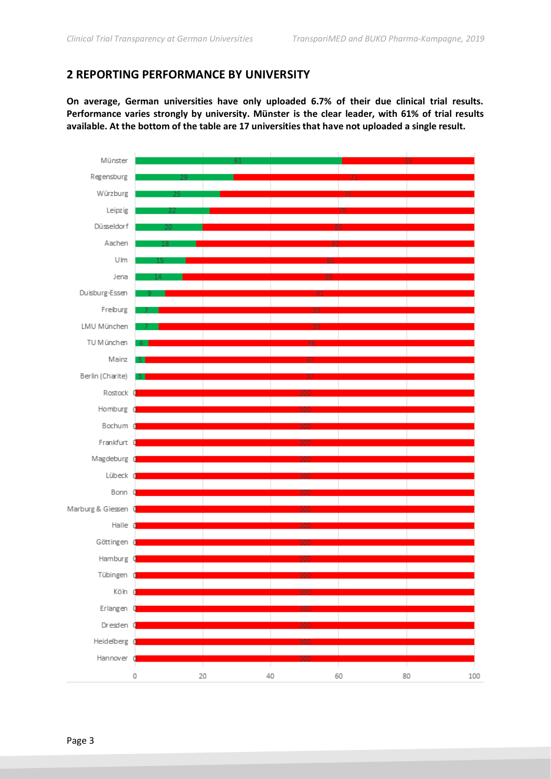## **2 REPORTING PERFORMANCE BY UNIVERSITY**

**On average, German universities have only uploaded 6.7% of their due clinical trial results. Performance varies strongly by university. Münster is the clear leader, with 61% of trial results available. At the bottom of the table are 17 universities that have not uploaded a single result.**

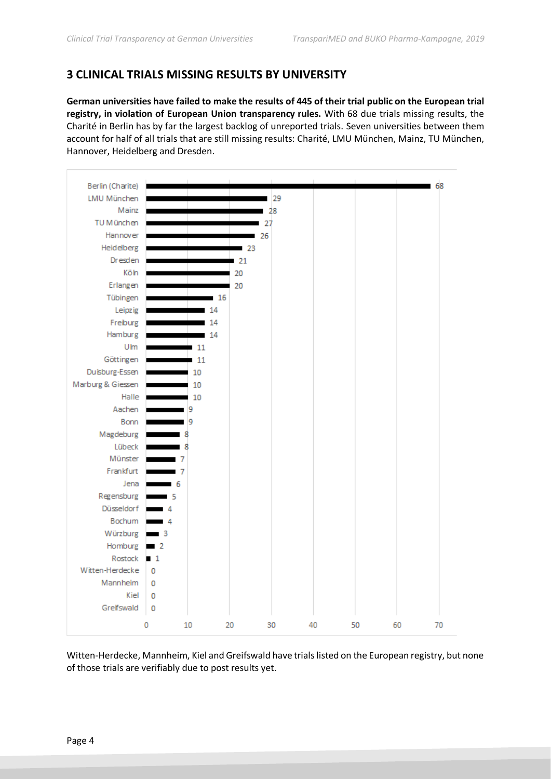# **3 CLINICAL TRIALS MISSING RESULTS BY UNIVERSITY**

**German universities have failed to make the results of 445 of their trial public on the European trial registry, in violation of European Union transparency rules.** With 68 due trials missing results, the Charité in Berlin has by far the largest backlog of unreported trials. Seven universities between them account for half of all trials that are still missing results: Charité, LMU München, Mainz, TU München, Hannover, Heidelberg and Dresden.



Witten-Herdecke, Mannheim, Kiel and Greifswald have trials listed on the European registry, but none of those trials are verifiably due to post results yet.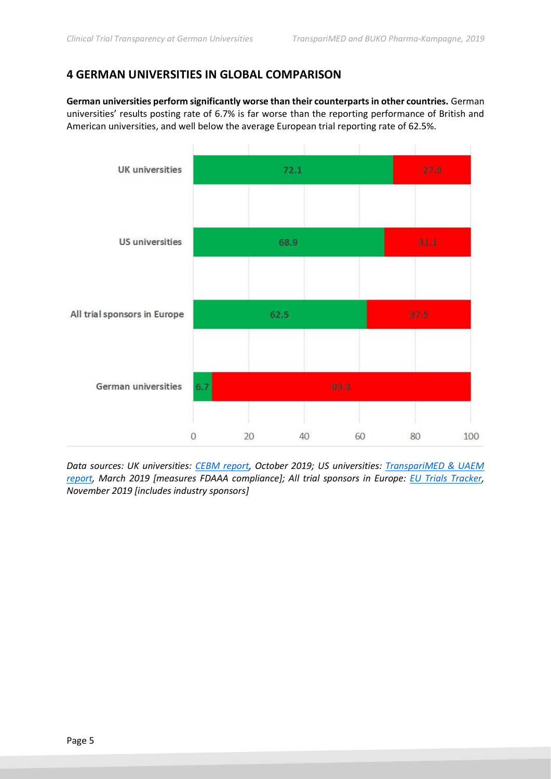# **4 GERMAN UNIVERSITIES IN GLOBAL COMPARISON**

**German universities perform significantly worse than their counterparts in other countries.** German universities' results posting rate of 6.7% is far worse than the reporting performance of British and American universities, and well below the average European trial reporting rate of 62.5%.



*Data sources: UK universities: [CEBM report,](http://www.alltrials.net/wp-content/uploads/2019/10/AllTrials-update-report-for-STC-2019-Oct-14.pdf) October 2019; US universities: [TranspariMED & UAEM](https://988e032c-518c-4d3b-b8e1-0f903f16a792.filesusr.com/ugd/01f35d_8c22b87eda8e44ac83cf76642de94053.pdf?index=true)  [report,](https://988e032c-518c-4d3b-b8e1-0f903f16a792.filesusr.com/ugd/01f35d_8c22b87eda8e44ac83cf76642de94053.pdf?index=true) March 2019 [measures FDAAA compliance]; All trial sponsors in Europe: [EU Trials Tracker,](http://eu.trialstracker.net/) November 2019 [includes industry sponsors]*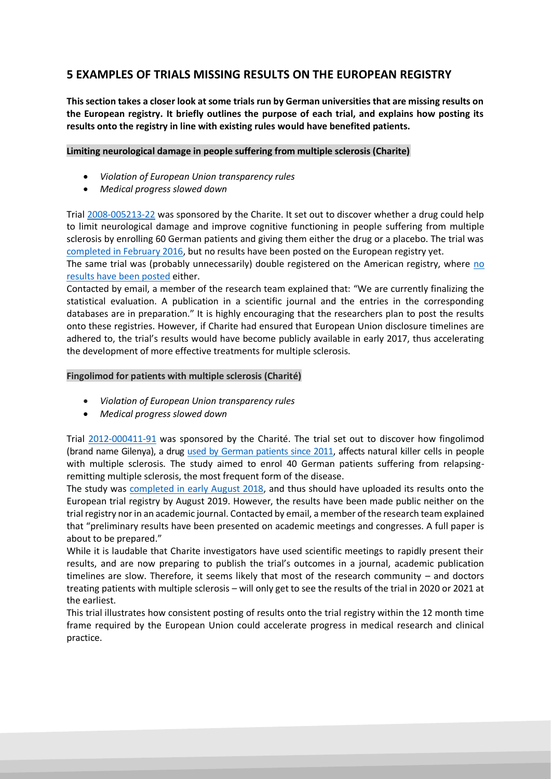# **5 EXAMPLES OF TRIALS MISSING RESULTS ON THE EUROPEAN REGISTRY**

**This section takes a closer look at some trials run by German universities that are missing results on the European registry. It briefly outlines the purpose of each trial, and explains how posting its results onto the registry in line with existing rules would have benefited patients.**

#### **Limiting neurological damage in people suffering from multiple sclerosis (Charite)**

- *Violation of European Union transparency rules*
- *Medical progress slowed down*

Trial [2008-005213-22](https://www.clinicaltrialsregister.eu/ctr-search/search?query=2008-005213-22) was sponsored by the Charite. It set out to discover whether a drug could help to limit neurological damage and improve cognitive functioning in people suffering from multiple sclerosis by enrolling 60 German patients and giving them either the drug or a placebo. The trial was [completed in February 2016,](https://www.clinicaltrialsregister.eu/ctr-search/trial/2008-005213-22/DE) but no results have been posted on the European registry yet.

The same trial was (probably unnecessarily) double registered on the American registry, where [no](https://www.clinicaltrials.gov/ct2/show/record/NCT00799890)  [results have been posted](https://www.clinicaltrials.gov/ct2/show/record/NCT00799890) either.

Contacted by email, a member of the research team explained that: "We are currently finalizing the statistical evaluation. A publication in a scientific journal and the entries in the corresponding databases are in preparation." It is highly encouraging that the researchers plan to post the results onto these registries. However, if Charite had ensured that European Union disclosure timelines are adhered to, the trial's results would have become publicly available in early 2017, thus accelerating the development of more effective treatments for multiple sclerosis.

#### **Fingolimod for patients with multiple sclerosis (Charité)**

- *Violation of European Union transparency rules*
- *Medical progress slowed down*

Trial [2012-000411-91](https://www.clinicaltrialsregister.eu/ctr-search/search?query=2012-000411-91) was sponsored by the Charité. The trial set out to discover how fingolimod (brand name Gilenya), a drug [used by German patients since 2011,](https://link.springer.com/article/10.1007%2Fs00115-011-3360-1) affects natural killer cells in people with multiple sclerosis. The study aimed to enrol 40 German patients suffering from relapsingremitting multiple sclerosis, the most frequent form of the disease.

The study was [completed in early August 2018,](https://www.clinicaltrialsregister.eu/ctr-search/trial/2012-000411-91/DE#P) and thus should have uploaded its results onto the European trial registry by August 2019. However, the results have been made public neither on the trial registry nor in an academic journal. Contacted by email, a member of the research team explained that "preliminary results have been presented on academic meetings and congresses. A full paper is about to be prepared."

While it is laudable that Charite investigators have used scientific meetings to rapidly present their results, and are now preparing to publish the trial's outcomes in a journal, academic publication timelines are slow. Therefore, it seems likely that most of the research community – and doctors treating patients with multiple sclerosis – will only get to see the results of the trial in 2020 or 2021 at the earliest.

This trial illustrates how consistent posting of results onto the trial registry within the 12 month time frame required by the European Union could accelerate progress in medical research and clinical practice.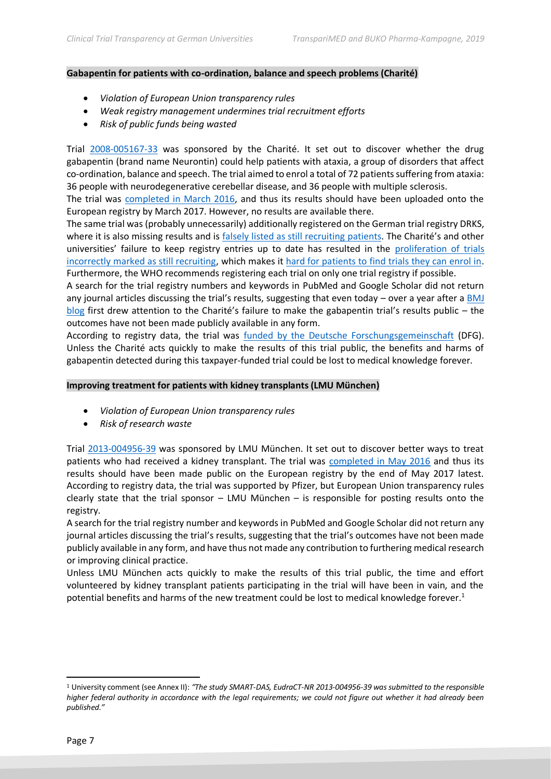#### **Gabapentin for patients with co-ordination, balance and speech problems (Charité)**

- *Violation of European Union transparency rules*
- *Weak registry management undermines trial recruitment efforts*
- *Risk of public funds being wasted*

Trial [2008-005167-33](https://www.clinicaltrialsregister.eu/ctr-search/search?query=2008-005167-33) was sponsored by the Charité. It set out to discover whether the drug gabapentin (brand name Neurontin) could help patients with ataxia, a group of disorders that affect co-ordination, balance and speech. The trial aimed to enrol a total of 72 patients suffering from ataxia: 36 people with neurodegenerative cerebellar disease, and 36 people with multiple sclerosis.

The trial was [completed in March 2016,](https://www.clinicaltrialsregister.eu/ctr-search/trial/2008-005167-33/DE#P) and thus its results should have been uploaded onto the European registry by March 2017. However, no results are available there.

The same trial was (probably unnecessarily) additionally registered on the German trial registry DRKS, where it is also missing results and is [falsely listed as still recruiting](https://www.drks.de/drks_web/navigate.do?navigationId=trial.HTML&TRIAL_ID=DRKS00000269) patients. The Charité's and other universities' failure to keep registry entries up to date has resulted in the [proliferation of trials](https://journals.plos.org/plosone/article?id=10.1371/journal.pone.0193088)  [incorrectly marked as still recruiting,](https://journals.plos.org/plosone/article?id=10.1371/journal.pone.0193088) which makes it [hard for patients to find trials they can enrol in.](https://www.transparimed.org/single-post/2019/04/17/Outdated-registry-information-makes-it-hard-for-patients-to-join-clinical-trials) Furthermore, the WHO recommends registering each trial on only one trial registry if possible.

A search for the trial registry numbers and keywords in PubMed and Google Scholar did not return any journal articles discussing the trial's results, suggesting that even today – over a year after a BMJ [blog](https://blogs.bmj.com/bmj/2018/09/27/utotw-gabapentin-for-cerebellar-ataxia-in-degenerative-and-inflammatory-cns-disease/) first drew attention to the Charité's failure to make the gabapentin trial's results public – the outcomes have not been made publicly available in any form.

According to registry data, the trial was [funded by the Deutsche Forschungsgemeinschaft](https://www.drks.de/drks_web/navigate.do?navigationId=trial.HTML&TRIAL_ID=DRKS00000269) (DFG). Unless the Charité acts quickly to make the results of this trial public, the benefits and harms of gabapentin detected during this taxpayer-funded trial could be lost to medical knowledge forever.

#### **Improving treatment for patients with kidney transplants (LMU München)**

- *Violation of European Union transparency rules*
- *Risk of research waste*

Trial [2013-004956-39](https://www.clinicaltrialsregister.eu/ctr-search/search?query=2013-004956-39) was sponsored by LMU München. It set out to discover better ways to treat patients who had received a kidney transplant. The trial was [completed in May 2016](https://www.clinicaltrialsregister.eu/ctr-search/trial/2013-004956-39/DE#P) and thus its results should have been made public on the European registry by the end of May 2017 latest. According to registry data, the trial was supported by Pfizer, but European Union transparency rules clearly state that the trial sponsor – LMU München – is responsible for posting results onto the registry.

A search for the trial registry number and keywords in PubMed and Google Scholar did not return any journal articles discussing the trial's results, suggesting that the trial's outcomes have not been made publicly available in any form, and have thus not made any contribution to furthering medical research or improving clinical practice.

Unless LMU München acts quickly to make the results of this trial public, the time and effort volunteered by kidney transplant patients participating in the trial will have been in vain, and the potential benefits and harms of the new treatment could be lost to medical knowledge forever.<sup>1</sup>

<sup>1</sup> University comment (see Annex II): *"The study SMART-DAS, EudraCT-NR 2013-004956-39 was submitted to the responsible higher federal authority in accordance with the legal requirements; we could not figure out whether it had already been published."*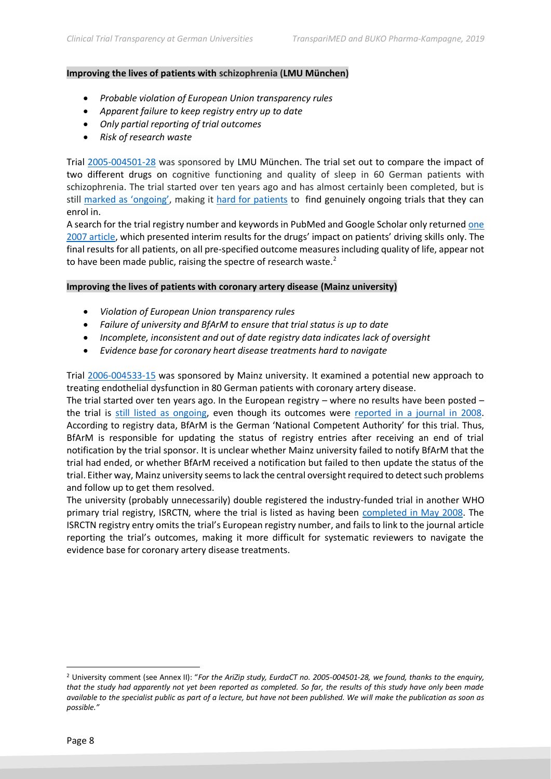#### **Improving the lives of patients with schizophrenia (LMU München)**

- *Probable violation of European Union transparency rules*
- *Apparent failure to keep registry entry up to date*
- *Only partial reporting of trial outcomes*
- *Risk of research waste*

Trial [2005-004501-28](https://www.clinicaltrialsregister.eu/ctr-search/search?query=2005-004501-28) was sponsored by LMU München. The trial set out to compare the impact of two different drugs on cognitive functioning and quality of sleep in 60 German patients with schizophrenia. The trial started over ten years ago and has almost certainly been completed, but is still [marked as 'ongoing'](https://www.clinicaltrialsregister.eu/ctr-search/trial/2005-004501-28/DE#B), making it [hard for patients](https://www.transparimed.org/single-post/2019/04/17/Outdated-registry-information-makes-it-hard-for-patients-to-join-clinical-trials) to find genuinely ongoing trials that they can enrol in.

A search for the trial registry number and keywords in PubMed and Google Scholar only returned [one](https://link.springer.com/article/10.1007/s00406-015-0647-4)  [2007 article](https://link.springer.com/article/10.1007/s00406-015-0647-4), which presented interim results for the drugs' impact on patients' driving skills only. The final results for all patients, on all pre-specified outcome measures including quality of life, appear not to have been made public, raising the spectre of research waste. $2^2$ 

#### **Improving the lives of patients with coronary artery disease (Mainz university)**

- *Violation of European Union transparency rules*
- *Failure of university and BfArM to ensure that trial status is up to date*
- *Incomplete, inconsistent and out of date registry data indicates lack of oversight*
- *Evidence base for coronary heart disease treatments hard to navigate*

Trial [2006-004533-15](https://www.clinicaltrialsregister.eu/ctr-search/search?query=2006-004533-15) was sponsored by Mainz university. It examined a potential new approach to treating endothelial dysfunction in 80 German patients with coronary artery disease.

The trial started over ten years ago. In the European registry – where no results have been posted – the trial is [still listed as ongoing,](https://www.clinicaltrialsregister.eu/ctr-search/trial/2006-004533-15/DE) even though its outcomes were [reported in a journal in 2008.](https://www.researchgate.net/profile/Ebrahim_Ostad/publication/265098571_Die_PENTA-Studie_wissenschaftlicher_Hintergrund_und_klinische_Relevanz/links/543a412d0cf204cab1d97a77/Die-PENTA-Studie-wissenschaftlicher-Hintergrund-und-klinische-Relevanz.pdf) According to registry data, BfArM is the German 'National Competent Authority' for this trial. Thus, BfArM is responsible for updating the status of registry entries after receiving an end of trial notification by the trial sponsor. It is unclear whether Mainz university failed to notify BfArM that the trial had ended, or whether BfArM received a notification but failed to then update the status of the trial. Either way, Mainz university seems to lack the central oversight required to detect such problems and follow up to get them resolved.

The university (probably unnecessarily) double registered the industry-funded trial in another WHO primary trial registry, ISRCTN, where the trial is listed as having been [completed in May 2008.](http://www.isrctn.com/ISRCTN14741769) The ISRCTN registry entry omits the trial's European registry number, and fails to link to the journal article reporting the trial's outcomes, making it more difficult for systematic reviewers to navigate the evidence base for coronary artery disease treatments.

<sup>2</sup> University comment (see Annex II): "*For the AriZip study, EurdaCT no. 2005-004501-28, we found, thanks to the enquiry, that the study had apparently not yet been reported as completed. So far, the results of this study have only been made available to the specialist public as part of a lecture, but have not been published. We will make the publication as soon as possible."*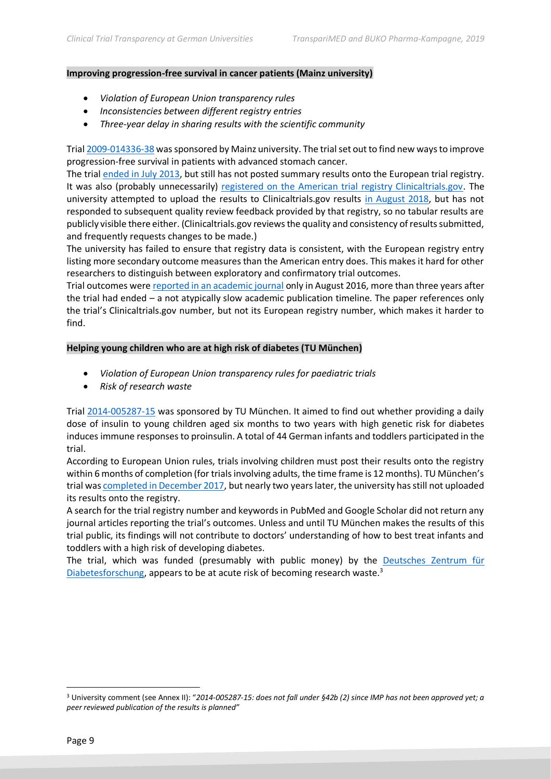#### **Improving progression-free survival in cancer patients (Mainz university)**

- *Violation of European Union transparency rules*
- *Inconsistencies between different registry entries*
- *Three-year delay in sharing results with the scientific community*

Tria[l 2009-014336-38](https://www.clinicaltrialsregister.eu/ctr-search/search?query=2009-014336-38) was sponsored by Mainz university. The trial set out to find new ways to improve progression-free survival in patients with advanced stomach cancer.

The trial [ended in July 2013,](https://www.clinicaltrialsregister.eu/ctr-search/trial/2009-014336-38/DE) but still has not posted summary results onto the European trial registry. It was also (probably unnecessarily) [registered on the American trial registry Clinicaltrials.gov.](https://clinicaltrials.gov/ct2/show/record/NCT01020630) The university attempted to upload the results to Clinicaltrials.gov results [in August 2018,](https://clinicaltrials.gov/ct2/show/results/NCT01020630) but has not responded to subsequent quality review feedback provided by that registry, so no tabular results are publicly visible there either. (Clinicaltrials.gov reviews the quality and consistency of results submitted, and frequently requests changes to be made.)

The university has failed to ensure that registry data is consistent, with the European registry entry listing more secondary outcome measures than the American entry does. This makes it hard for other researchers to distinguish between exploratory and confirmatory trial outcomes.

Trial outcomes were [reported in an academic journal](https://bmccancer.biomedcentral.com/articles/10.1186/s12885-016-2736-9) only in August 2016, more than three years after the trial had ended – a not atypically slow academic publication timeline. The paper references only the trial's Clinicaltrials.gov number, but not its European registry number, which makes it harder to find.

#### **Helping young children who are at high risk of diabetes (TU München)**

- *Violation of European Union transparency rules for paediatric trials*
- *Risk of research waste*

Trial [2014-005287-15](https://www.clinicaltrialsregister.eu/ctr-search/search?query=2014-005287-15) was sponsored by TU München. It aimed to find out whether providing a daily dose of insulin to young children aged six months to two years with high genetic risk for diabetes induces immune responses to proinsulin. A total of 44 German infants and toddlers participated in the trial.

According to European Union rules, trials involving children must post their results onto the registry within 6 months of completion (for trials involving adults, the time frame is 12 months). TU München's trial wa[s completed in December 2017,](https://www.clinicaltrialsregister.eu/ctr-search/trial/2014-005287-15/DE) but nearly two years later, the university has still not uploaded its results onto the registry.

A search for the trial registry number and keywords in PubMed and Google Scholar did not return any journal articles reporting the trial's outcomes. Unless and until TU München makes the results of this trial public, its findings will not contribute to doctors' understanding of how to best treat infants and toddlers with a high risk of developing diabetes.

The trial, which was funded (presumably with public money) by the [Deutsches Zentrum für](https://www.dzd-ev.de/das-dzd/index.html)  [Diabetesforschung,](https://www.dzd-ev.de/das-dzd/index.html) appears to be at acute risk of becoming research waste.<sup>3</sup>

<sup>3</sup> University comment (see Annex II): "*2014-005287-15: does not fall under §42b (2) since IMP has not been approved yet; a peer reviewed publication of the results is planned"*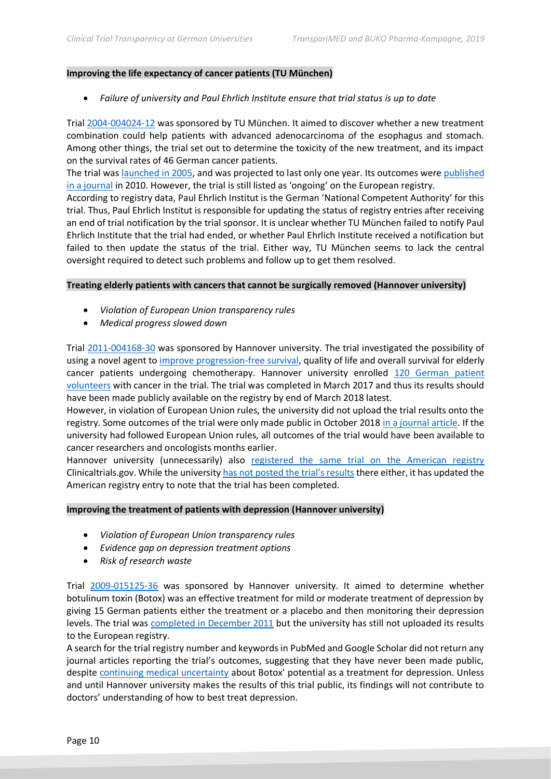#### **Improving the life expectancy of cancer patients (TU München)**

• *Failure of university and Paul Ehrlich Institute ensure that trial status is up to date*

Trial [2004-004024-12](https://www.clinicaltrialsregister.eu/ctr-search/search?query=2004-004024-12) was sponsored by TU München. It aimed to discover whether a new treatment combination could help patients with advanced adenocarcinoma of the esophagus and stomach. Among other things, the trial set out to determine the toxicity of the new treatment, and its impact on the survival rates of 46 German cancer patients.

The trial was [launched in 2005,](https://www.clinicaltrialsregister.eu/ctr-search/trial/2004-004024-12/DE) and was projected to last only one year. Its outcomes wer[e published](https://www.nature.com/articles/6605521)  [in a journal](https://www.nature.com/articles/6605521) in 2010. However, the trial is still listed as 'ongoing' on the European registry.

According to registry data, Paul Ehrlich Institut is the German 'National Competent Authority' for this trial. Thus, Paul Ehrlich Institut is responsible for updating the status of registry entries after receiving an end of trial notification by the trial sponsor. It is unclear whether TU München failed to notify Paul Ehrlich Institute that the trial had ended, or whether Paul Ehrlich Institute received a notification but failed to then update the status of the trial. Either way, TU München seems to lack the central oversight required to detect such problems and follow up to get them resolved.

#### **Treating elderly patients with cancers that cannot be surgically removed (Hannover university)**

- *Violation of European Union transparency rules*
- *Medical progress slowed down*

Trial [2011-004168-30](https://www.clinicaltrialsregister.eu/ctr-search/search?query=2011-004168-30) was sponsored by Hannover university. The trial investigated the possibility of using a novel agent to [improve progression-free survival,](https://trialsjournal.biomedcentral.com/articles/10.1186/s13063-016-1434-x) quality of life and overall survival for elderly cancer patients undergoing chemotherapy. Hannover university enrolled [120 German patient](https://www.clinicaltrialsregister.eu/ctr-search/trial/2011-004168-30/DE#F)  [volunteers](https://www.clinicaltrialsregister.eu/ctr-search/trial/2011-004168-30/DE#F) with cancer in the trial. The trial was completed in March 2017 and thus its results should have been made publicly available on the registry by end of March 2018 latest.

However, in violation of European Union rules, the university did not upload the trial results onto the registry. Some outcomes of the trial were only made public in October 2018 [in a journal article.](https://academic.oup.com/annonc/article/29/suppl_8/mdy299.004/5140228) If the university had followed European Union rules, all outcomes of the trial would have been available to cancer researchers and oncologists months earlier.

Hannover university (unnecessarily) also [registered the same trial on the American registry](https://clinicaltrials.gov/ct2/show/record/NCT01861951) Clinicaltrials.gov. While the university [has not posted the trial's results](https://clinicaltrials.gov/ct2/show/results/NCT01861951) there either, it has updated the American registry entry to note that the trial has been completed.

#### **Improving the treatment of patients with depression (Hannover university)**

- *Violation of European Union transparency rules*
- *Evidence gap on depression treatment options*
- *Risk of research waste*

Trial [2009-015125-36](https://www.clinicaltrialsregister.eu/ctr-search/search?query=2009-015125-36) was sponsored by Hannover university. It aimed to determine whether botulinum toxin (Botox) was an effective treatment for mild or moderate treatment of depression by giving 15 German patients either the treatment or a placebo and then monitoring their depression levels. The trial was [completed in December 2011](https://www.clinicaltrialsregister.eu/ctr-search/trial/2009-015125-36/DE#F) but the university has still not uploaded its results to the European registry.

A search for the trial registry number and keywords in PubMed and Google Scholar did not return any journal articles reporting the trial's outcomes, suggesting that they have never been made public, despite [continuing medical uncertainty](https://balancewomenshealth.com/Websites/balance/images/Depression/Botox%20for%20depression.pdf) about Botox' potential as a treatment for depression. Unless and until Hannover university makes the results of this trial public, its findings will not contribute to doctors' understanding of how to best treat depression.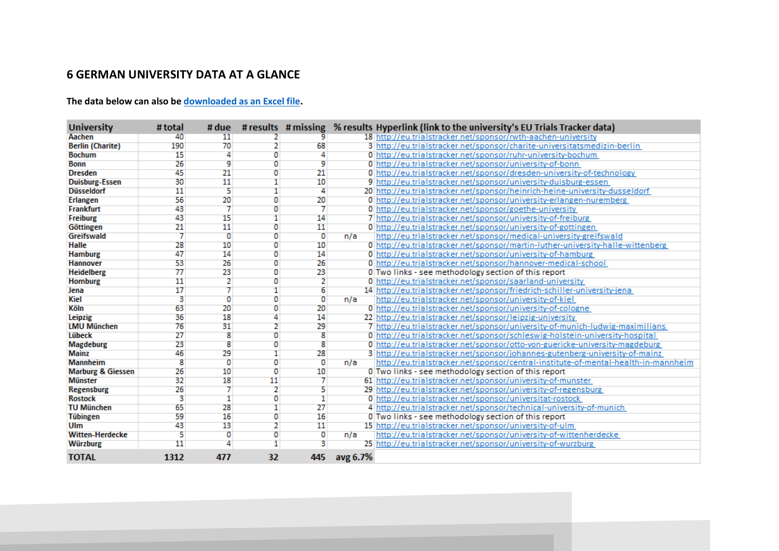# **6 GERMAN UNIVERSITY DATA AT A GLANCE**

**The data below can also b[e downloaded as an Excel file.](https://www.scribd.com/document/439654478/TranspariMED-German-University-Clinical-Trials-Nov2019)**

| <b>University</b>            | # total | # due          |                |                |          | # results # missing % results Hyperlink (link to the university's EU Trials Tracker data) |
|------------------------------|---------|----------------|----------------|----------------|----------|-------------------------------------------------------------------------------------------|
| Aachen                       | 40      | 11             |                |                |          | 18 http://eu.trialstracker.net/sponsor/rwth-aachen-university                             |
| <b>Berlin (Charite)</b>      | 190     | 70             |                | 68             |          | 3 http://eu.trialstracker.net/sponsor/charite-universitatsmedizin-berlin                  |
| <b>Bochum</b>                | 15      |                | Ω              |                |          | 0 http://eu.trialstracker.net/sponsor/ruhr-university-bochum                              |
| <b>Bonn</b>                  | 26      | 9              | ٥              | ٩              |          | 0 http://eu.trialstracker.net/sponsor/university-of-bonn                                  |
| <b>Dresden</b>               | 45      | 21             | O              | 21             |          | 0 http://eu.trialstracker.net/sponsor/dresden-university-of-technology                    |
| <b>Duisburg-Essen</b>        | 30      | 11             |                | 10             |          | 9 http://eu.trialstracker.net/sponsor/university-duisburg-essen                           |
| <b>Düsseldorf</b>            | 11      | 5              |                | z              |          | 20 http://eu.trialstracker.net/sponsor/heinrich-heine-university-dusseldorf               |
| <b>Erlangen</b>              | 56      | 20             | 0              | 20             |          | 0 http://eu.trialstracker.net/sponsor/university-erlangen-nuremberg                       |
| <b>Frankfurt</b>             | 43      |                | ō              |                |          | 0 http://eu.trialstracker.net/sponsor/goethe-university                                   |
| Freiburg                     | 43      | 15             |                | 14             |          | 7 http://eu.trialstracker.net/sponsor/university-of-freiburg                              |
| Göttingen                    | 21      | 11             | 0              | 11             |          | 0 http://eu.trialstracker.net/sponsor/university-of-gottingen                             |
| Greifswald                   | 7       | $\overline{0}$ | $\overline{0}$ | $\overline{0}$ | n/a      | http://eu.trialstracker.net/sponsor/medical-university-greifswald                         |
| <b>Halle</b>                 | 28      | 10             | O              | 10             |          | 0 http://eu.trialstracker.net/sponsor/martin-luther-university-halle-wittenberg           |
| <b>Hamburg</b>               | 47      | 14             | 0              | 14             |          | 0 http://eu.trialstracker.net/sponsor/university-of-hamburg                               |
| <b>Hannover</b>              | 53      | 26             | 0              | 26             |          | 0 http://eu.trialstracker.net/sponsor/hannover-medical-school                             |
| <b>Heidelberg</b>            | 77      | 23             | 0              | 23             |          | 0 Two links - see methodology section of this report                                      |
| <b>Homburg</b>               | 11      | $\overline{2}$ | 0              | 2              |          | 0 http://eu.trialstracker.net/sponsor/saarland-university                                 |
| Jena                         | 17      |                |                | 6              |          | 14 http://eu.trialstracker.net/sponsor/friedrich-schiller-university-jena                 |
| Kiel                         | 3       | o              | 0              | o              | n/a      | http://eu.trialstracker.net/sponsor/university-of-kiel                                    |
| Köln                         | 63      | 20             | 0              | 20             |          | 0 http://eu.trialstracker.net/sponsor/university-of-cologne                               |
| Leipzig                      | 36      | 18             |                | 14             |          | 22 http://eu.trialstracker.net/sponsor/leipzig-university                                 |
| <b>LMU München</b>           | 76      | 31             |                | 29             |          | http://eu.trialstracker.net/sponsor/university-of-munich-ludwig-maximilians               |
| <b>Lübeck</b>                | 27      | 8              | o              | 8              |          | 0 http://eu.trialstracker.net/sponsor/schleswig-holstein-university-hospital              |
| <b>Magdeburg</b>             | 23      | 8              | O              | 8              |          | http://eu.trialstracker.net/sponsor/otto-von-guericke-university-magdeburg                |
| <b>Mainz</b>                 | 46      | 29             |                | 28             |          | 3 http://eu.trialstracker.net/sponsor/johannes-gutenberg-university-of-mainz              |
| <b>Mannheim</b>              | 8       | $\overline{0}$ | 0              | $\overline{0}$ | n/a      | http://eu.trialstracker.net/sponsor/central-institute-of-mental-health-in-mannheim        |
| <b>Marburg &amp; Giessen</b> | 26      | 10             | O              | 10             |          | 0 Two links - see methodology section of this report                                      |
| <b>Münster</b>               | 32      | 18             | 11             |                |          | 61 http://eu.trialstracker.net/sponsor/university-of-munster                              |
| <b>Regensburg</b>            | 26      |                | 2              | 5              |          | 29 http://eu.trialstracker.net/sponsor/university-of-regensburg                           |
| <b>Rostock</b>               | 3       | п              | O              | 1              |          | 0 http://eu.trialstracker.net/sponsor/universitat-rostock                                 |
| <b>TU München</b>            | 65      | 28             |                | 27             |          | 4 http://eu.trialstracker.net/sponsor/technical-university-of-munich                      |
| <b>Tübingen</b>              | 59      | 16             | о              | 16             |          | 0 Two links - see methodology section of this report                                      |
| Ulm                          | 43      | 13             | 2              | 11             |          | 15 http://eu.trialstracker.net/sponsor/university-of-ulm                                  |
| <b>Witten-Herdecke</b>       | 5       | 0              | O              | 0              | n/a      | http://eu.trialstracker.net/sponsor/university-of-wittenherdecke                          |
| <b>Würzburg</b>              | 11      |                |                | 3              |          | 25 http://eu.trialstracker.net/sponsor/university-of-wurzburg                             |
| <b>TOTAL</b>                 | 1312    | 477            | 32             | 445            | avg 6.7% |                                                                                           |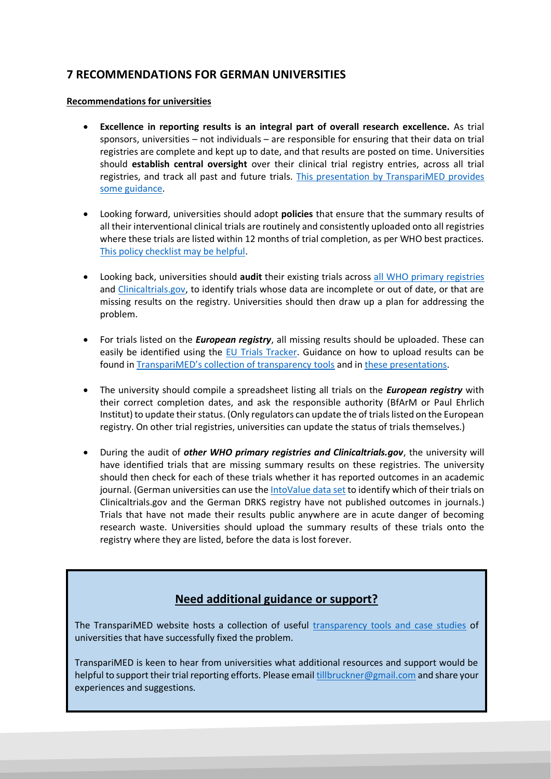# **7 RECOMMENDATIONS FOR GERMAN UNIVERSITIES**

#### **Recommendations for universities**

- **Excellence in reporting results is an integral part of overall research excellence.** As trial sponsors, universities – not individuals – are responsible for ensuring that their data on trial registries are complete and kept up to date, and that results are posted on time. Universities should **establish central oversight** over their clinical trial registry entries, across all trial registries, and track all past and future trials. [This presentation by TranspariMED provides](https://988e032c-518c-4d3b-b8e1-0f903f16a792.filesusr.com/ugd/01f35d_754f14e22885421cb525c7df0b93c94c.pptx?dn=TranspariMED%20-%20Clinical%20trial%20transparen)  [some guidance.](https://988e032c-518c-4d3b-b8e1-0f903f16a792.filesusr.com/ugd/01f35d_754f14e22885421cb525c7df0b93c94c.pptx?dn=TranspariMED%20-%20Clinical%20trial%20transparen)
- Looking forward, universities should adopt **policies** that ensure that the summary results of all their interventional clinical trials are routinely and consistently uploaded onto all registries where these trials are listed within 12 months of trial completion, as per WHO best practices. [This policy checklist may be helpful.](https://988e032c-518c-4d3b-b8e1-0f903f16a792.filesusr.com/ugd/01f35d_126926e6233248c685450e24123bfd85.pdf?index=true)
- Looking back, universities should **audit** their existing trials across [all WHO primary registries](https://www.who.int/ictrp/network/primary/en/) and [Clinicaltrials.gov,](https://clinicaltrials.gov/) to identify trials whose data are incomplete or out of date, or that are missing results on the registry. Universities should then draw up a plan for addressing the problem.
- For trials listed on the *European registry*, all missing results should be uploaded. These can easily be identified using the [EU Trials Tracker.](https://eu.trialstracker.net/) Guidance on how to upload results can be found in [TranspariMED's collection of transparency tools](https://www.transparimed.org/resources) and in [these presentations.](https://www.transparimed.org/single-post/2019/10/01/Tips-tricks-and-tools-for-universities-struggling-to-get-all-their-clinical-trials-reported)
- The university should compile a spreadsheet listing all trials on the *European registry* with their correct completion dates, and ask the responsible authority (BfArM or Paul Ehrlich Institut) to update their status. (Only regulators can update the of trials listed on the European registry. On other trial registries, universities can update the status of trials themselves.)
- During the audit of *other WHO primary registries and Clinicaltrials.gov*, the university will have identified trials that are missing summary results on these registries. The university should then check for each of these trials whether it has reported outcomes in an academic journal. (German universities can use th[e IntoValue data set](https://www.transparimed.org/single-post/2018/11/20/Ethics-violations-and-research-waste-widespread-at-German-medical-universities-%E2%80%93-new-study) to identify which of their trials on Clinicaltrials.gov and the German DRKS registry have not published outcomes in journals.) Trials that have not made their results public anywhere are in acute danger of becoming research waste. Universities should upload the summary results of these trials onto the registry where they are listed, before the data is lost forever.

# **Need additional guidance or support?**

The TranspariMED website hosts a collection of useful [transparency tools and case studies](https://www.transparimed.org/resources) of universities that have successfully fixed the problem.

TranspariMED is keen to hear from universities what additional resources and support would be helpful to support their trial reporting efforts. Please emai[l tillbruckner@gmail.com](mailto:tillbruckner@gmail.com) and share your experiences and suggestions.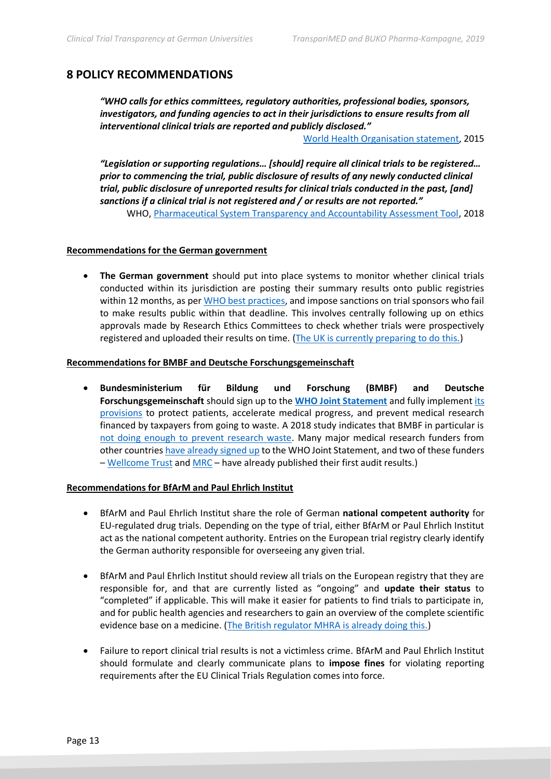# **8 POLICY RECOMMENDATIONS**

*"WHO calls for ethics committees, regulatory authorities, professional bodies, sponsors, investigators, and funding agencies to act in their jurisdictions to ensure results from all interventional clinical trials are reported and publicly disclosed."*

[World Health Organisation](https://www.ncbi.nlm.nih.gov/pmc/articles/PMC4396122/) statement, 2015

*"Legislation or supporting regulations… [should] require all clinical trials to be registered… prior to commencing the trial, public disclosure of results of any newly conducted clinical trial, public disclosure of unreported results for clinical trials conducted in the past, [and] sanctions if a clinical trial is not registered and / or results are not reported."* WHO, [Pharmaceutical System Transparency and Accountability Assessment Tool,](https://apps.who.int/iris/bitstream/handle/10665/275370/WHO-EMP-2018.04-eng.pdf?ua=1) 2018

#### **Recommendations for the German government**

• **The German government** should put into place systems to monitor whether clinical trials conducted within its jurisdiction are posting their summary results onto public registries within 12 months, as per [WHO best practices,](https://www.who.int/ictrp/results/jointstatement/en/) and impose sanctions on trial sponsors who fail to make results public within that deadline. This involves centrally following up on ethics approvals made by Research Ethics Committees to check whether trials were prospectively registered and uploaded their results on time. [\(The UK is currently preparing to do this.\)](https://www.transparimed.org/single-post/2019/10/22/How-to-get-all-clinical-registered-and-reported---national-monitoring-explained-in-five-slides)

#### **Recommendations for BMBF and Deutsche Forschungsgemeinschaft**

• **Bundesministerium für Bildung und Forschung (BMBF) and Deutsche Forschungsgemeinschaft** should sign up to the **[WHO Joint Statement](https://www.who.int/ictrp/results/jointstatement/en/)** and fully implement [its](https://988e032c-518c-4d3b-b8e1-0f903f16a792.filesusr.com/ugd/01f35d_126926e6233248c685450e24123bfd85.pdf?index=true)  [provisions](https://988e032c-518c-4d3b-b8e1-0f903f16a792.filesusr.com/ugd/01f35d_126926e6233248c685450e24123bfd85.pdf?index=true) to protect patients, accelerate medical progress, and prevent medical research financed by taxpayers from going to waste. A 2018 study indicates that BMBF in particular is [not doing enough to prevent research waste.](https://www.transparimed.org/single-post/2018/05/08/Governments-fail-to-curb-research-waste-in-publicly-funded-clinical-trials---new-study) Many major medical research funders from other countrie[s have already signed up](https://www.transparimed.org/single-post/2018/08/28/TI-Cochrane-and-TranspariMED-prompt-medical-research-funders-on-transparency) to the WHO Joint Statement, and two of these funders – [Wellcome Trust](https://wellcome.ac.uk/funding/guidance/wellcome-clinical-trial-policy-monitoring-2018-2019) and [MRC](https://mrc.ukri.org/research/policies-and-guidance-for-researchers/review-of-clinical-trials/) – have already published their first audit results.)

#### **Recommendations for BfArM and Paul Ehrlich Institut**

- BfArM and Paul Ehrlich Institut share the role of German **national competent authority** for EU-regulated drug trials. Depending on the type of trial, either BfArM or Paul Ehrlich Institut act as the national competent authority. Entries on the European trial registry clearly identify the German authority responsible for overseeing any given trial.
- BfArM and Paul Ehrlich Institut should review all trials on the European registry that they are responsible for, and that are currently listed as "ongoing" and **update their status** to "completed" if applicable. This will make it easier for patients to find trials to participate in, and for public health agencies and researchers to gain an overview of the complete scientific evidence base on a medicine. [\(The British regulator MHRA is already doing this.\)](https://www.transparimed.org/single-post/2019/04/27/False-%E2%80%98ongoing%E2%80%99-clinical-trials-make-life-difficult-for-patients-and-researchers-Now-Britain%E2%80%99s-MHRA-is-fixing-the-problem)
- Failure to report clinical trial results is not a victimless crime. BfArM and Paul Ehrlich Institut should formulate and clearly communicate plans to **impose fines** for violating reporting requirements after the EU Clinical Trials Regulation comes into force.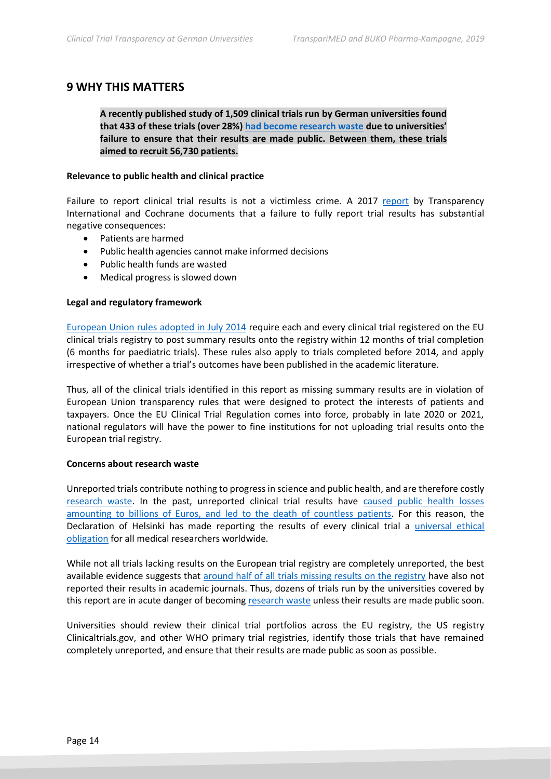#### **9 WHY THIS MATTERS**

**A recently published study of 1,509 clinical trials run by German universities found that 433 of these trials (over 28%) [had become research waste](https://www.transparimed.org/single-post/2018/11/20/Ethics-violations-and-research-waste-widespread-at-German-medical-universities-%E2%80%93-new-study) due to universities' failure to ensure that their results are made public. Between them, these trials aimed to recruit 56,730 patients.**

#### **Relevance to public health and clinical practice**

Failure to report clinical trial results is not a victimless crime. A 2017 [report](https://docs.wixstatic.com/ugd/01f35d_def0082121a648529220e1d56df4b50a.pdf) by Transparency International and Cochrane documents that a failure to fully report trial results has substantial negative consequences:

- Patients are harmed
- Public health agencies cannot make informed decisions
- Public health funds are wasted
- Medical progress is slowed down

#### **Legal and regulatory framework**

[European Union rules adopted in July 2014](https://www.ema.europa.eu/en/news/posting-clinical-trial-summary-results-european-clinical-trials-database-eudract-become-mandatory) require each and every clinical trial registered on the EU clinical trials registry to post summary results onto the registry within 12 months of trial completion (6 months for paediatric trials). These rules also apply to trials completed before 2014, and apply irrespective of whether a trial's outcomes have been published in the academic literature.

Thus, all of the clinical trials identified in this report as missing summary results are in violation of European Union transparency rules that were designed to protect the interests of patients and taxpayers. Once the EU Clinical Trial Regulation comes into force, probably in late 2020 or 2021, national regulators will have the power to fine institutions for not uploading trial results onto the European trial registry.

#### **Concerns about research waste**

Unreported trials contribute nothing to progress in science and public health, and are therefore costly [research waste.](https://www.thelancet.com/series/research) In the past, unreported clinical trial results have [caused public health losses](https://media.wix.com/ugd/01f35d_0f2955eb88e34c02b82d886c528efeb4.pdf)  [amounting to billions of Euros, and led to the death of countless patients.](https://media.wix.com/ugd/01f35d_0f2955eb88e34c02b82d886c528efeb4.pdf) For this reason, the Declaration of Helsinki has made reporting the results of every clinical trial a [universal ethical](https://www.wma.net/policies-post/wma-declaration-of-helsinki-ethical-principles-for-medical-research-involving-human-subjects/)  [obligation](https://www.wma.net/policies-post/wma-declaration-of-helsinki-ethical-principles-for-medical-research-involving-human-subjects/) for all medical researchers worldwide.

While not all trials lacking results on the European trial registry are completely unreported, the best available evidence suggests that [around half of all trials missing results on the registry](https://www.bmj.com/content/362/bmj.k3218) have also not reported their results in academic journals. Thus, dozens of trials run by the universities covered by this report are in acute danger of becoming [research waste](https://988e032c-518c-4d3b-b8e1-0f903f16a792.filesusr.com/ugd/01f35d_674e5287df2f4be9ad4a9cc238390f2f.pdf) unless their results are made public soon.

Universities should review their clinical trial portfolios across the EU registry, the US registry Clinicaltrials.gov, and other WHO primary trial registries, identify those trials that have remained completely unreported, and ensure that their results are made public as soon as possible.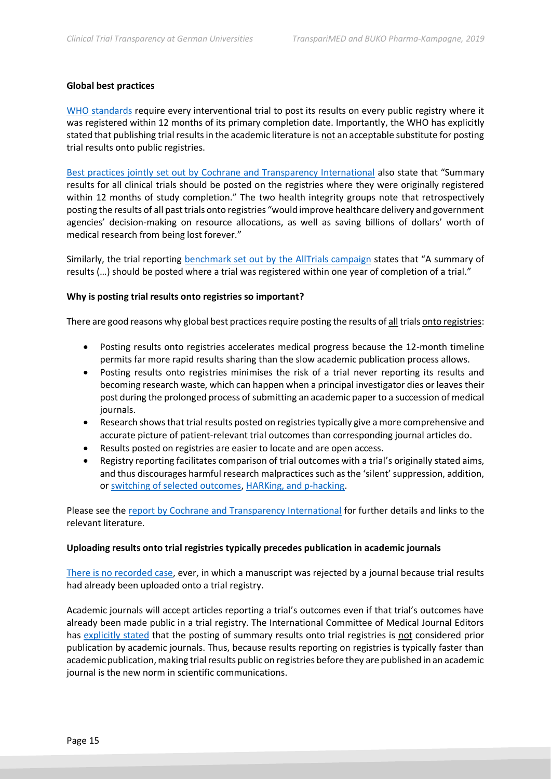#### **Global best practices**

[WHO standards](http://www.who.int/ictrp/results/jointstatement/en/) require every interventional trial to post its results on every public registry where it was registered within 12 months of its primary completion date. Importantly, the WHO has explicitly stated that publishing trial results in the academic literature is not an acceptable substitute for posting trial results onto public registries.

[Best practices jointly set out by Cochrane and Transparency International](https://docs.wixstatic.com/ugd/01f35d_def0082121a648529220e1d56df4b50a.pdf) also state that "Summary results for all clinical trials should be posted on the registries where they were originally registered within 12 months of study completion." The two health integrity groups note that retrospectively posting the results of all past trials onto registries "would improve healthcare delivery and government agencies' decision-making on resource allocations, as well as saving billions of dollars' worth of medical research from being lost forever."

Similarly, the trial reporting benchmark set out [by the AllTrials campaign](http://www.alltrials.net/wp-content/uploads/2017/02/AllTrials-Roadmap.pdf) states that "A summary of results (…) should be posted where a trial was registered within one year of completion of a trial."

#### **Why is posting trial results onto registries so important?**

There are good reasons why global best practices require posting the results of all trials onto registries:

- Posting results onto registries accelerates medical progress because the 12-month timeline permits far more rapid results sharing than the slow academic publication process allows.
- Posting results onto registries minimises the risk of a trial never reporting its results and becoming research waste, which can happen when a principal investigator dies or leaves their post during the prolonged process of submitting an academic paper to a succession of medical journals.
- Research shows that trial results posted on registries typically give a more comprehensive and accurate picture of patient-relevant trial outcomes than corresponding journal articles do.
- Results posted on registries are easier to locate and are open access.
- Registry reporting facilitates comparison of trial outcomes with a trial's originally stated aims, and thus discourages harmful research malpractices such as the 'silent' suppression, addition, or [switching of selected outcomes,](https://www.bmj.com/content/356/bmj.j396) [HARKing, and p-hacking.](https://www.nature.com/articles/s41562-016-0021)

Please see the [report by Cochrane and Transparency International](https://docs.wixstatic.com/ugd/01f35d_def0082121a648529220e1d56df4b50a.pdf) for further details and links to the relevant literature.

#### **Uploading results onto trial registries typically precedes publication in academic journals**

[There is no recorded case,](https://www.transparimed.org/single-post/2019/10/16/If-I-upload-the-results-of-my-clinical-trial-onto-a-registry-will-that-endanger-journal-publication-The-answer-is-a-loud-and-clear-No) ever, in which a manuscript was rejected by a journal because trial results had already been uploaded onto a trial registry.

Academic journals will accept articles reporting a trial's outcomes even if that trial's outcomes have already been made public in a trial registry. The International Committee of Medical Journal Editors has [explicitly stated](https://www.transparimed.org/single-post/2019/10/16/If-I-upload-the-results-of-my-clinical-trial-onto-a-registry-will-that-endanger-journal-publication-The-answer-is-a-loud-and-clear-No) that the posting of summary results onto trial registries is not considered prior publication by academic journals. Thus, because results reporting on registries is typically faster than academic publication, making trial results public on registries before they are published in an academic journal is the new norm in scientific communications.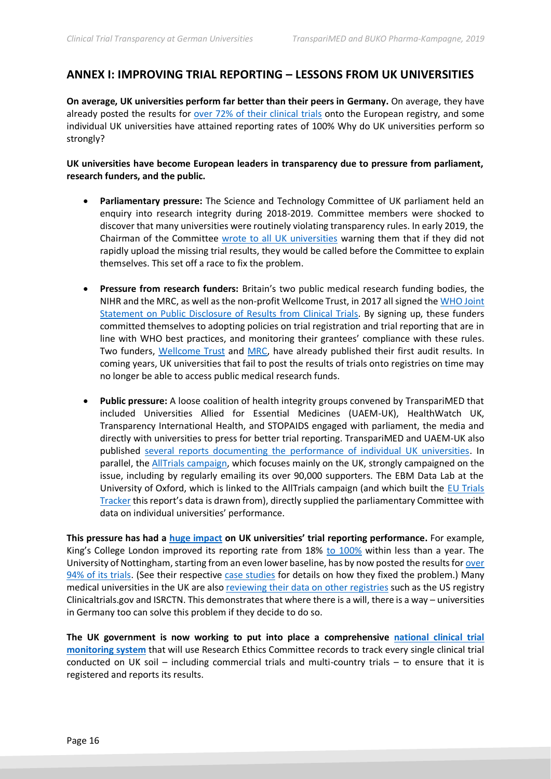# **ANNEX I: IMPROVING TRIAL REPORTING – LESSONS FROM UK UNIVERSITIES**

**On average, UK universities perform far better than their peers in Germany.** On average, they have already posted the results for [over 72% of their clinical trials](http://www.alltrials.net/wp-content/uploads/2019/10/AllTrials-update-report-for-STC-2019-Oct-14.pdf) onto the European registry, and some individual UK universities have attained reporting rates of 100% Why do UK universities perform so strongly?

**UK universities have become European leaders in transparency due to pressure from parliament, research funders, and the public.** 

- **Parliamentary pressure:** The Science and Technology Committee of UK parliament held an enquiry into research integrity during 2018-2019. Committee members were shocked to discover that many universities were routinely violating transparency rules. In early 2019, the Chairman of the Committee [wrote to all UK universities](https://www.transparimed.org/single-post/2019/02/25/UK-government-promises-national-strategy-to-boost-clinical-trial-reporting) warning them that if they did not rapidly upload the missing trial results, they would be called before the Committee to explain themselves. This set off a race to fix the problem.
- **Pressure from research funders:** Britain's two public medical research funding bodies, the NIHR and the MRC, as well as the non-profit Wellcome Trust, in 2017 all signed the [WHO Joint](https://www.who.int/ictrp/results/jointstatement/en/)  [Statement on Public Disclosure of Results from Clinical Trials.](https://www.who.int/ictrp/results/jointstatement/en/) By signing up, these funders committed themselves to adopting policies on trial registration and trial reporting that are in line with WHO best practices, and monitoring their grantees' compliance with these rules. Two funders, [Wellcome Trust](https://wellcome.ac.uk/funding/guidance/wellcome-clinical-trial-policy-monitoring-2018-2019) and [MRC,](https://mrc.ukri.org/research/policies-and-guidance-for-researchers/review-of-clinical-trials/) have already published their first audit results. In coming years, UK universities that fail to post the results of trials onto registries on time may no longer be able to access public medical research funds.
- **Public pressure:** A loose coalition of health integrity groups convened by TranspariMED that included Universities Allied for Essential Medicines (UAEM-UK), HealthWatch UK, Transparency International Health, and STOPAIDS engaged with parliament, the media and directly with universities to press for better trial reporting. TranspariMED and UAEM-UK also published [several reports documenting the performance of individual UK universities.](https://www.transparimed.org/resources) In parallel, the [AllTrials campaign,](http://www.alltrials.net/) which focuses mainly on the UK, strongly campaigned on the issue, including by regularly emailing its over 90,000 supporters. The EBM Data Lab at the University of Oxford, which is linked to the AllTrials campaign (and which built the [EU Trials](https://eu.trialstracker.net/)  [Tracker](https://eu.trialstracker.net/) this report's data is drawn from), directly supplied the parliamentary Committee with data on individual universities' performance.

**This pressure has had a [huge impact](https://www.transparimed.org/single-post/2019/11/07/Science-and-Technology-Committee-clinical-trial-transparency-UK) on UK universities' trial reporting performance.** For example, King's College London improved its reporting rate from 18% [to 100%](https://eu.trialstracker.net/sponsor/kings-college-london) within less than a year. The University of Nottingham, starting from an even lower baseline, has by now posted the results for [over](https://eu.trialstracker.net/sponsor/university-of-nottingham)  [94% of its trials.](https://eu.trialstracker.net/sponsor/university-of-nottingham) (See their respective [case studies](https://www.transparimed.org/resources) for details on how they fixed the problem.) Many medical universities in the UK are als[o reviewing their data on](https://988e032c-518c-4d3b-b8e1-0f903f16a792.filesusr.com/ugd/01f35d_915fb4e5aab048afb5cf89f2a369d8f0.pdf?index=true) other registries such as the US registry Clinicaltrials.gov and ISRCTN. This demonstrates that where there is a will, there is a way – universities in Germany too can solve this problem if they decide to do so.

**The UK government is now working to put into place a comprehensive [national clinical trial](https://www.transparimed.org/single-post/2019/10/22/How-to-get-all-clinical-registered-and-reported---national-monitoring-explained-in-five-slides)  [monitoring system](https://www.transparimed.org/single-post/2019/10/22/How-to-get-all-clinical-registered-and-reported---national-monitoring-explained-in-five-slides)** that will use Research Ethics Committee records to track every single clinical trial conducted on UK soil – including commercial trials and multi-country trials – to ensure that it is registered and reports its results.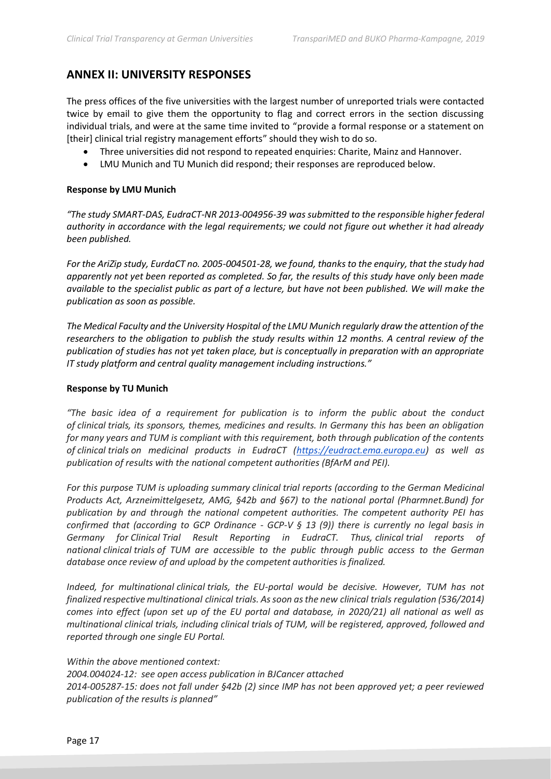# **ANNEX II: UNIVERSITY RESPONSES**

The press offices of the five universities with the largest number of unreported trials were contacted twice by email to give them the opportunity to flag and correct errors in the section discussing individual trials, and were at the same time invited to "provide a formal response or a statement on [their] clinical trial registry management efforts" should they wish to do so.

- Three universities did not respond to repeated enquiries: Charite, Mainz and Hannover.
- LMU Munich and TU Munich did respond; their responses are reproduced below.

#### **Response by LMU Munich**

*"The study SMART-DAS, EudraCT-NR 2013-004956-39 was submitted to the responsible higher federal authority in accordance with the legal requirements; we could not figure out whether it had already been published.*

*For the AriZip study, EurdaCT no. 2005-004501-28, we found, thanks to the enquiry, that the study had apparently not yet been reported as completed. So far, the results of this study have only been made available to the specialist public as part of a lecture, but have not been published. We will make the publication as soon as possible.*

*The Medical Faculty and the University Hospital of the LMU Munich regularly draw the attention of the researchers to the obligation to publish the study results within 12 months. A central review of the publication of studies has not yet taken place, but is conceptually in preparation with an appropriate IT study platform and central quality management including instructions."*

#### **Response by TU Munich**

*"The basic idea of a requirement for publication is to inform the public about the conduct of clinical trials, its sponsors, themes, medicines and results. In Germany this has been an obligation for many years and TUM is compliant with this requirement, both through publication of the contents of clinical trials on medicinal products in EudraCT [\(https://eudract.ema.europa.eu\)](https://eudract.ema.europa.eu/) as well as publication of results with the national competent authorities (BfArM and PEI).* 

*For this purpose TUM is uploading summary clinical trial reports (according to the German Medicinal Products Act, Arzneimittelgesetz, AMG, §42b and §67) to the national portal (Pharmnet.Bund) for publication by and through the national competent authorities. The competent authority PEI has confirmed that (according to GCP Ordinance - GCP-V § 13 (9)) there is currently no legal basis in Germany for Clinical Trial Result Reporting in EudraCT. Thus, clinical trial reports of national clinical trials of TUM are accessible to the public through public access to the German database once review of and upload by the competent authorities is finalized.*

*Indeed, for multinational clinical trials, the EU-portal would be decisive. However, TUM has not finalized respective multinational clinical trials. Assoon as the new clinical trials regulation (536/2014) comes into effect (upon set up of the EU portal and database, in 2020/21) all national as well as multinational clinical trials, including clinical trials of TUM, will be registered, approved, followed and reported through one single EU Portal.*

#### *Within the above mentioned context:*

*2004.004024-12: see open access publication in BJCancer attached 2014-005287-15: does not fall under §42b (2) since IMP has not been approved yet; a peer reviewed publication of the results is planned"*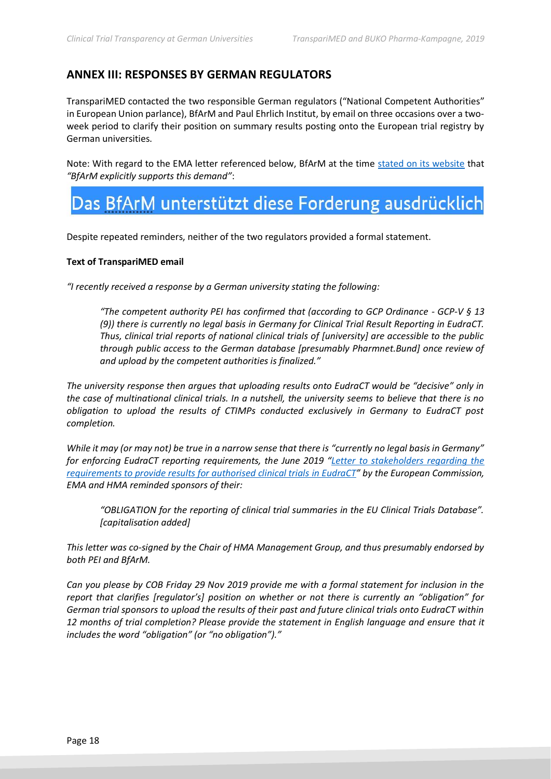# **ANNEX III: RESPONSES BY GERMAN REGULATORS**

TranspariMED contacted the two responsible German regulators ("National Competent Authorities" in European Union parlance), BfArM and Paul Ehrlich Institut, by email on three occasions over a twoweek period to clarify their position on summary results posting onto the European trial registry by German universities.

Note: With regard to the EMA letter referenced below, BfArM at the time [stated on its website](https://www.bfarm.de/DE/Arzneimittel/Arzneimittelzulassung/KlinischePruefung/news/Ergebnisberichte.html) that *"BfArM explicitly supports this demand"*:

# Das BfArM unterstützt diese Forderung ausdrücklich

Despite repeated reminders, neither of the two regulators provided a formal statement.

#### **Text of TranspariMED email**

*"I recently received a response by a German university stating the following:*

*"The competent authority PEI has confirmed that (according to GCP Ordinance - GCP-V § 13 (9)) there is currently no legal basis in Germany for Clinical Trial Result Reporting in EudraCT. Thus, clinical trial reports of national clinical trials of [university] are accessible to the public through public access to the German database [presumably Pharmnet.Bund] once review of and upload by the competent authorities is finalized."*

*The university response then argues that uploading results onto EudraCT would be "decisive" only in the case of multinational clinical trials. In a nutshell, the university seems to believe that there is no obligation to upload the results of CTIMPs conducted exclusively in Germany to EudraCT post completion.*

*While it may (or may not) be true in a narrow sense that there is "currently no legal basis in Germany" for enforcing EudraCT reporting requirements, the June 2019 "[Letter to stakeholders regarding the](https://www.bfarm.de/SharedDocs/Downloads/DE/Arzneimittel/KlinischePruefung/JointLetter_20190703.pdf?__blob=publicationFile&v=1)  [requirements to provide results for authorised clinical trials](https://www.bfarm.de/SharedDocs/Downloads/DE/Arzneimittel/KlinischePruefung/JointLetter_20190703.pdf?__blob=publicationFile&v=1) in EudraCT" by the European Commission, EMA and HMA reminded sponsors of their:*

*"OBLIGATION for the reporting of clinical trial summaries in the EU Clinical Trials Database". [capitalisation added]*

*This letter was co-signed by the Chair of HMA Management Group, and thus presumably endorsed by both PEI and BfArM.*

*Can you please by COB Friday 29 Nov 2019 provide me with a formal statement for inclusion in the report that clarifies [regulator's] position on whether or not there is currently an "obligation" for German trial sponsors to upload the results of their past and future clinical trials onto EudraCT within*  12 months of trial completion? Please provide the statement in English language and ensure that it *includes the word "obligation" (or "no obligation")."*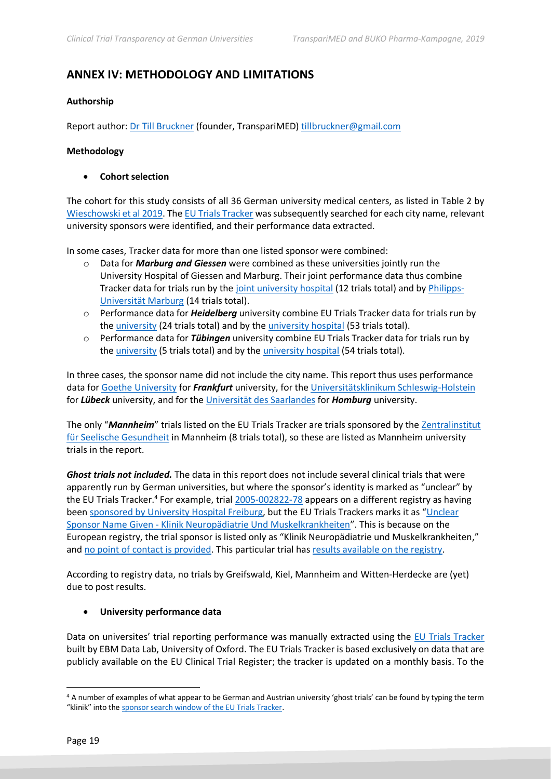# **ANNEX IV: METHODOLOGY AND LIMITATIONS**

#### **Authorship**

Report author: [Dr Till Bruckner](https://uk.linkedin.com/in/tillbruckner) (founder, TranspariMED) [tillbruckner@gmail.com](mailto:tillbruckner@gmail.com)

#### **Methodology**

• **Cohort selection**

The cohort for this study consists of all 36 German university medical centers, as listed in Table 2 by [Wieschowski et al 2019.](https://www.jclinepi.com/article/S0895-4356(18)31063-1/fulltext) Th[e EU Trials Tracker](http://eu.trialstracker.net/?search) was subsequently searched for each city name, relevant university sponsors were identified, and their performance data extracted.

In some cases, Tracker data for more than one listed sponsor were combined:

- o Data for *Marburg and Giessen* were combined as these universities jointly run the University Hospital of Giessen and Marburg. Their joint performance data thus combine Tracker data for trials run by the [joint university hospital](http://eu.trialstracker.net/sponsor/university-hospital-giessen-and-marburg) (12 trials total) and by [Philipps-](http://eu.trialstracker.net/sponsor/philipps-university-marburg)[Universität Marburg](http://eu.trialstracker.net/sponsor/philipps-university-marburg) (14 trials total).
- o Performance data for *Heidelberg* university combine EU Trials Tracker data for trials run by the [university](http://eu.trialstracker.net/sponsor/heidelberg-university) (24 trials total) and by the [university hospital](http://eu.trialstracker.net/sponsor/heidelberg-university-hospital) (53 trials total).
- o Performance data for *Tübingen* university combine EU Trials Tracker data for trials run by the [university](http://eu.trialstracker.net/sponsor/eberhard-karls-university-tubingen) (5 trials total) and by the [university hospital](http://eu.trialstracker.net/sponsor/university-hospital-tubingen) (54 trials total).

In three cases, the sponsor name did not include the city name. This report thus uses performance data for [Goethe University](http://eu.trialstracker.net/sponsor/goethe-university) for *Frankfurt* university, for the [Universitätsklinikum Schleswig-Holstein](http://eu.trialstracker.net/sponsor/schleswig-holstein-university-hospital) for *Lübeck* university, and for th[e Universität des Saarlandes](http://eu.trialstracker.net/sponsor/saarland-university) for *Homburg* university.

The only "*Mannheim*" trials listed on the EU Trials Tracker are trials sponsored by the [Zentralinstitut](http://eu.trialstracker.net/sponsor/central-institute-of-mental-health-in-mannheim)  [für Seelische Gesundheit](http://eu.trialstracker.net/sponsor/central-institute-of-mental-health-in-mannheim) in Mannheim (8 trials total), so these are listed as Mannheim university trials in the report.

*Ghost trials not included.* The data in this report does not include several clinical trials that were apparently run by German universities, but where the sponsor's identity is marked as "unclear" by the EU Trials Tracker.<sup>4</sup> For example, tria[l 2005-002822-78](https://www.clinicaltrialsregister.eu/ctr-search/search?query=2005-002822-78) appears on a different registry as having been [sponsored by University Hospital Freiburg](https://clinicaltrials.gov/ct2/show/NCT00533221), but the EU Trials Trackers marks it as "[Unclear](http://eu.trialstracker.net/sponsor/unclear-sponsor-name-given-klinik-neuropadiatrie-und-muskelkrankheiten)  Sponsor Name Given - [Klinik Neuropädiatrie Und Muskelkrankheiten](http://eu.trialstracker.net/sponsor/unclear-sponsor-name-given-klinik-neuropadiatrie-und-muskelkrankheiten)". This is because on the European registry, the trial sponsor is listed only as "Klinik Neuropädiatrie und Muskelkrankheiten," and [no point of contact is provided.](https://www.clinicaltrialsregister.eu/ctr-search/trial/2005-002822-78/DE) This particular trial has [results available on](https://www.clinicaltrialsregister.eu/ctr-search/trial/2005-002822-78/results) the registry.

According to registry data, no trials by Greifswald, Kiel, Mannheim and Witten-Herdecke are (yet) due to post results.

#### • **University performance data**

Data on universites' trial reporting performance was manually extracted using the [EU Trials Tracker](http://eu.trialstracker.net/) built by EBM Data Lab, University of Oxford. The EU Trials Tracker is based exclusively on data that are publicly available on the EU Clinical Trial Register; the tracker is updated on a monthly basis. To the

<sup>4</sup> A number of examples of what appear to be German and Austrian university 'ghost trials' can be found by typing the term "klinik" into the [sponsor search window of the EU Trials Tracker.](http://eu.trialstracker.net/?search)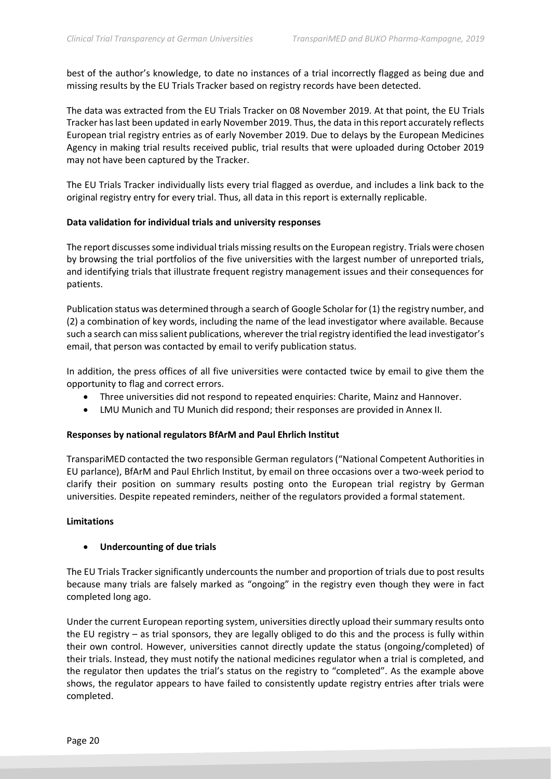best of the author's knowledge, to date no instances of a trial incorrectly flagged as being due and missing results by the EU Trials Tracker based on registry records have been detected.

The data was extracted from the EU Trials Tracker on 08 November 2019. At that point, the EU Trials Tracker has last been updated in early November 2019. Thus, the data in this report accurately reflects European trial registry entries as of early November 2019. Due to delays by the European Medicines Agency in making trial results received public, trial results that were uploaded during October 2019 may not have been captured by the Tracker.

The EU Trials Tracker individually lists every trial flagged as overdue, and includes a link back to the original registry entry for every trial. Thus, all data in this report is externally replicable.

#### **Data validation for individual trials and university responses**

The report discusses some individual trials missing results on the European registry. Trials were chosen by browsing the trial portfolios of the five universities with the largest number of unreported trials, and identifying trials that illustrate frequent registry management issues and their consequences for patients.

Publication status was determined through a search of Google Scholar for (1) the registry number, and (2) a combination of key words, including the name of the lead investigator where available. Because such a search can miss salient publications, wherever the trial registry identified the lead investigator's email, that person was contacted by email to verify publication status.

In addition, the press offices of all five universities were contacted twice by email to give them the opportunity to flag and correct errors.

- Three universities did not respond to repeated enquiries: Charite, Mainz and Hannover.
- LMU Munich and TU Munich did respond; their responses are provided in Annex II.

#### **Responses by national regulators BfArM and Paul Ehrlich Institut**

TranspariMED contacted the two responsible German regulators ("National Competent Authorities in EU parlance), BfArM and Paul Ehrlich Institut, by email on three occasions over a two-week period to clarify their position on summary results posting onto the European trial registry by German universities. Despite repeated reminders, neither of the regulators provided a formal statement.

#### **Limitations**

#### • **Undercounting of due trials**

The EU Trials Tracker significantly undercounts the number and proportion of trials due to post results because many trials are falsely marked as "ongoing" in the registry even though they were in fact completed long ago.

Under the current European reporting system, universities directly upload their summary results onto the EU registry – as trial sponsors, they are legally obliged to do this and the process is fully within their own control. However, universities cannot directly update the status (ongoing/completed) of their trials. Instead, they must notify the national medicines regulator when a trial is completed, and the regulator then updates the trial's status on the registry to "completed". As the example above shows, the regulator appears to have failed to consistently update registry entries after trials were completed.